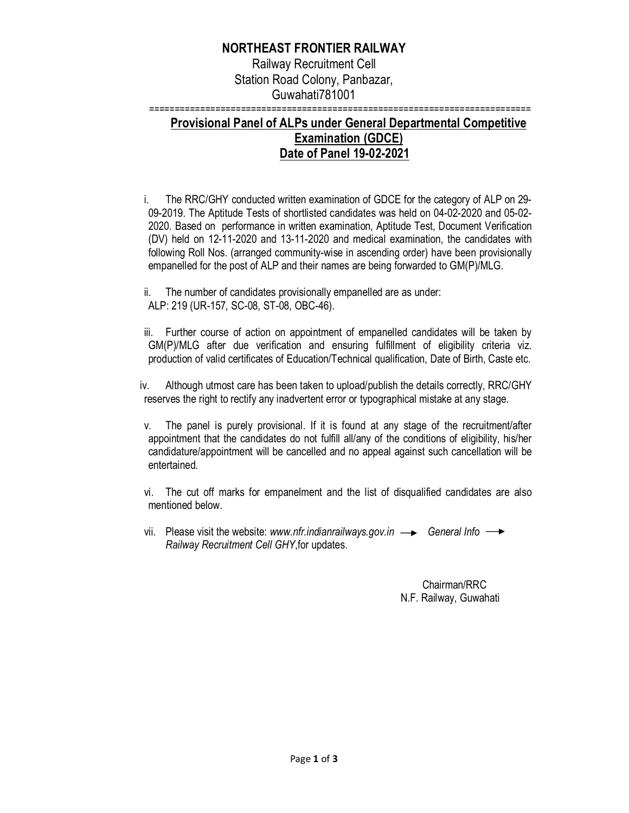## **NORTHEAST FRONTIER RAILWAY**

Railway Recruitment Cell Station Road Colony, Panbazar, Guwahati781001

===========================================================================

## **Provisional Panel of ALPs under General Departmental Competitive Examination (GDCE) Date of Panel 19-02-2021**

i. The RRC/GHY conducted written examination of GDCE for the category of ALP on 29- 09-2019. The Aptitude Tests of shortlisted candidates was held on 04-02-2020 and 05-02- 2020. Based on performance in written examination, Aptitude Test, Document Verification (DV) held on 12-11-2020 and 13-11-2020 and medical examination, the candidates with following Roll Nos. (arranged community-wise in ascending order) have been provisionally empanelled for the post of ALP and their names are being forwarded to GM(P)/MLG.

ii. The number of candidates provisionally empanelled are as under: ALP: 219 (UR-157, SC-08, ST-08, OBC-46).

iii. Further course of action on appointment of empanelled candidates will be taken by GM(P)/MLG after due verification and ensuring fulfillment of eligibility criteria viz. production of valid certificates of Education/Technical qualification, Date of Birth, Caste etc.

iv. Although utmost care has been taken to upload/publish the details correctly, RRC/GHY reserves the right to rectify any inadvertent error or typographical mistake at any stage.

v. The panel is purely provisional. If it is found at any stage of the recruitment/after appointment that the candidates do not fulfill all/any of the conditions of eligibility, his/her candidature/appointment will be cancelled and no appeal against such cancellation will be entertained.

vi. The cut off marks for empanelment and the list of disqualified candidates are also mentioned below.

vii. Please visit the website: *www.nfr.indianrailways.gov.in*  $\rightarrow$  General Info  $\rightarrow$ *Railway Recruitment Cell GHY*,for updates.

> Chairman/RRC N.F. Railway, Guwahati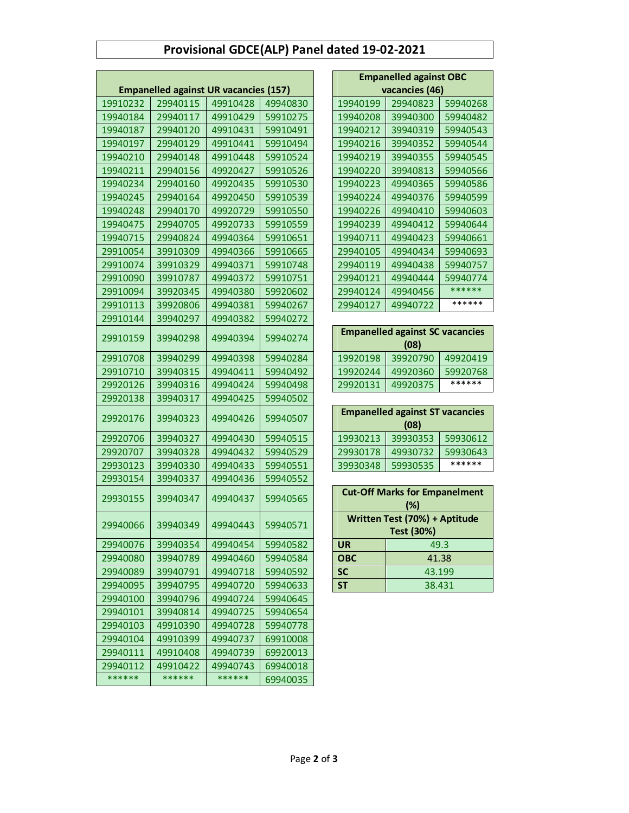## **Provisional GDCE(ALP) Panel dated 19-02-2021**

|                                              |          |          |          | <b>Empanelled against OBC</b> |                                                |          |
|----------------------------------------------|----------|----------|----------|-------------------------------|------------------------------------------------|----------|
| <b>Empanelled against UR vacancies (157)</b> |          |          |          | vacancies (46)                |                                                |          |
| 19910232                                     | 29940115 | 49910428 | 49940830 | 19940199                      | 29940823                                       | 59940268 |
| 19940184                                     | 29940117 | 49910429 | 59910275 | 19940208                      | 39940300                                       | 59940482 |
| 19940187                                     | 29940120 | 49910431 | 59910491 | 19940212                      | 39940319                                       | 59940543 |
| 19940197                                     | 29940129 | 49910441 | 59910494 | 19940216                      | 39940352                                       | 59940544 |
| 19940210                                     | 29940148 | 49910448 | 59910524 | 19940219                      | 39940355                                       | 59940545 |
| 19940211                                     | 29940156 | 49920427 | 59910526 | 19940220                      | 39940813                                       | 59940566 |
| 19940234                                     | 29940160 | 49920435 | 59910530 | 19940223                      | 49940365                                       | 59940586 |
| 19940245                                     | 29940164 | 49920450 | 59910539 | 19940224                      | 49940376                                       | 59940599 |
| 19940248                                     | 29940170 | 49920729 | 59910550 | 19940226                      | 49940410                                       | 59940603 |
| 19940475                                     | 29940705 | 49920733 | 59910559 | 19940239                      | 49940412                                       | 59940644 |
| 19940715                                     | 29940824 | 49940364 | 59910651 | 19940711                      | 49940423                                       | 59940661 |
| 29910054                                     | 39910309 | 49940366 | 59910665 | 29940105                      | 49940434                                       | 59940693 |
| 29910074                                     | 39910329 | 49940371 | 59910748 | 29940119                      | 49940438                                       | 59940757 |
| 29910090                                     | 39910787 | 49940372 | 59910751 | 29940121                      | 49940444                                       | 59940774 |
| 29910094                                     | 39920345 | 49940380 | 59920602 | 29940124                      | 49940456                                       | ******   |
| 29910113                                     | 39920806 | 49940381 | 59940267 | 29940127                      | 49940722                                       | ******   |
| 29910144                                     | 39940297 | 49940382 | 59940272 |                               |                                                |          |
| 29910159                                     | 39940298 | 49940394 | 59940274 |                               | <b>Empanelled against SC vacancies</b><br>(08) |          |
| 29910708                                     | 39940299 | 49940398 | 59940284 | 19920198                      | 39920790                                       | 49920419 |
| 29910710                                     | 39940315 | 49940411 | 59940492 | 19920244                      | 49920360                                       | 59920768 |
| 29920126                                     | 39940316 | 49940424 | 59940498 | 29920131                      | 49920375                                       | ******   |
| 29920138                                     | 39940317 | 49940425 | 59940502 |                               |                                                |          |
|                                              |          |          |          |                               | <b>Empanelled against ST vacancies</b>         |          |
| 29920176                                     | 39940323 | 49940426 | 59940507 |                               | (08)                                           |          |
| 29920706                                     | 39940327 | 49940430 | 59940515 | 19930213                      | 39930353                                       | 59930612 |
| 29920707                                     | 39940328 | 49940432 | 59940529 | 29930178                      | 49930732                                       | 59930643 |
| 29930123                                     | 39940330 | 49940433 | 59940551 | 39930348                      | 59930535                                       | ******   |
| 29930154                                     | 39940337 | 49940436 | 59940552 |                               |                                                |          |
| 29930155                                     | 39940347 | 49940437 | 59940565 |                               | <b>Cut-Off Marks for Empanelment</b><br>(%)    |          |
| 29940066                                     | 39940349 | 49940443 | 59940571 |                               | Written Test (70%) + Aptitude<br>Test (30%)    |          |
| 29940076                                     | 39940354 | 49940454 | 59940582 | <b>UR</b>                     | 49.3                                           |          |
| 29940080                                     | 39940789 | 49940460 | 59940584 | <b>OBC</b>                    | 41.38                                          |          |
| 29940089                                     | 39940791 | 49940718 | 59940592 | <b>SC</b>                     | 43.199                                         |          |
| 29940095                                     | 39940795 | 49940720 | 59940633 | <b>ST</b>                     | 38.431                                         |          |
| 29940100                                     | 39940796 | 49940724 | 59940645 |                               |                                                |          |
| 29940101                                     | 39940814 | 49940725 | 59940654 |                               |                                                |          |
| 29940103                                     | 49910390 | 49940728 | 59940778 |                               |                                                |          |
| 29940104                                     | 49910399 | 49940737 | 69910008 |                               |                                                |          |
| 29940111                                     | 49910408 | 49940739 | 69920013 |                               |                                                |          |
| 29940112                                     | 49910422 | 49940743 | 69940018 |                               |                                                |          |
| ******                                       | ******   | ******   | 69940035 |                               |                                                |          |

| <b>Empanelled against OBC</b> |          |          |  |
|-------------------------------|----------|----------|--|
| vacancies (46)                |          |          |  |
| 19940199                      | 29940823 | 59940268 |  |
| 19940208                      | 39940300 | 59940482 |  |
| 19940212                      | 39940319 | 59940543 |  |
| 19940216                      | 39940352 | 59940544 |  |
| 19940219                      | 39940355 | 59940545 |  |
| 19940220                      | 39940813 | 59940566 |  |
| 19940223                      | 49940365 | 59940586 |  |
| 19940224                      | 49940376 | 59940599 |  |
| 19940226                      | 49940410 | 59940603 |  |
| 19940239                      | 49940412 | 59940644 |  |
| 19940711                      | 49940423 | 59940661 |  |
| 29940105                      | 49940434 | 59940693 |  |
| 29940119                      | 49940438 | 59940757 |  |
| 29940121                      | 49940444 | 59940774 |  |
| 29940124                      | 49940456 | ******   |  |
| 29940127                      | 49940722 | ******   |  |

| <b>Empanelled against SC vacancies</b><br>(08) |          |          |
|------------------------------------------------|----------|----------|
| 19920198                                       | 39920790 | 49920419 |
| 19920244                                       | 49920360 | 59920768 |
| 29920131                                       | 49920375 | ******   |

| <b>Empanelled against ST vacancies</b> |          |          |  |
|----------------------------------------|----------|----------|--|
| (08)                                   |          |          |  |
| 19930213                               | 39930353 | 59930612 |  |
| 29930178                               | 49930732 | 59930643 |  |
| 39930348                               | 59930535 | ******   |  |

| <b>Cut-Off Marks for Empanelment</b><br>$(\%)$ |        |  |
|------------------------------------------------|--------|--|
| Written Test (70%) + Aptitude<br>Test (30%)    |        |  |
| <b>UR</b>                                      | 49.3   |  |
| <b>OBC</b>                                     | 41.38  |  |
| <b>SC</b>                                      | 43.199 |  |
| <b>ST</b>                                      | 38.431 |  |